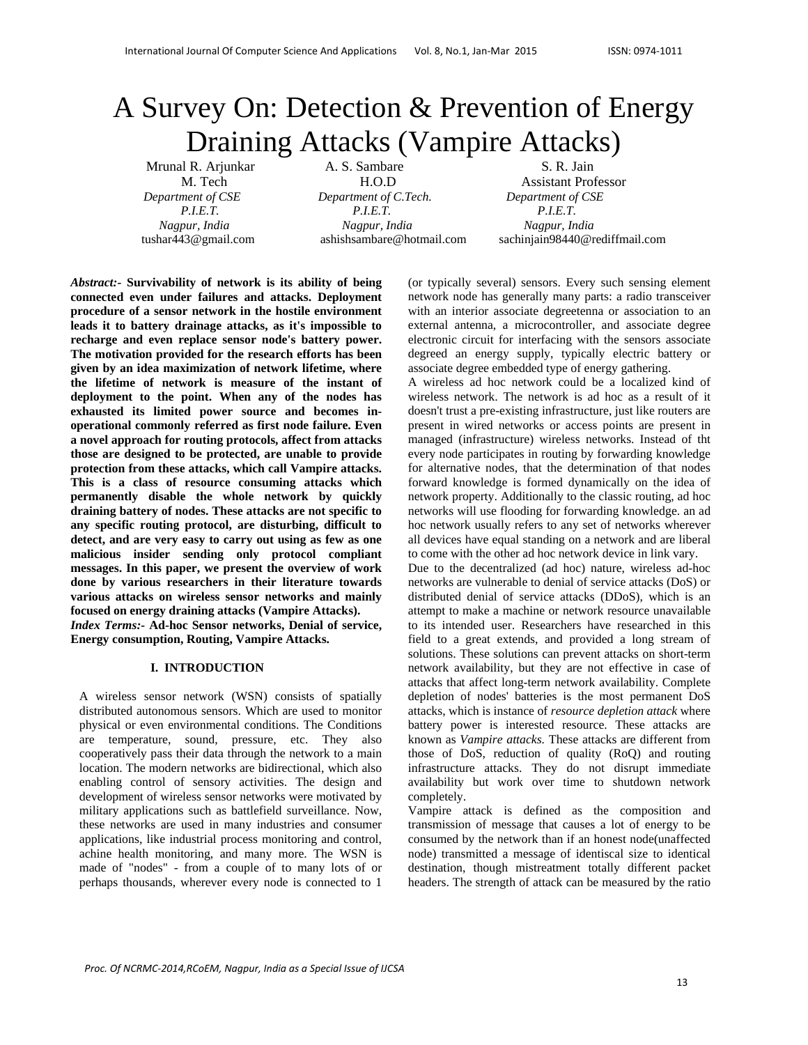# A Survey On: Detection & Prevention of Energy Draining Attacks (Vampire Attacks)

Mrunal R. Arjunkar A. S. Sambare S. R. Jain M. Tech H.O.D Assistant Professor  *Department of CSE Department of C.Tech. Department of CSE P.I.E.T. P.I.E.T. P.I.E.T. Nagpur, India Nagpur, India Nagpur, India*

tushar443@gmail.com ashishsambare@hotmail.com sachinjain98440@rediffmail.com

*Abstract:-* **Survivability of network is its ability of being connected even under failures and attacks. Deployment procedure of a sensor network in the hostile environment leads it to battery drainage attacks, as it's impossible to recharge and even replace sensor node's battery power. The motivation provided for the research efforts has been given by an idea maximization of network lifetime, where the lifetime of network is measure of the instant of deployment to the point. When any of the nodes has exhausted its limited power source and becomes inoperational commonly referred as first node failure. Even a novel approach for routing protocols, affect from attacks those are designed to be protected, are unable to provide protection from these attacks, which call Vampire attacks. This is a class of resource consuming attacks which permanently disable the whole network by quickly draining battery of nodes. These attacks are not specific to any specific routing protocol, are disturbing, difficult to detect, and are very easy to carry out using as few as one malicious insider sending only protocol compliant messages. In this paper, we present the overview of work done by various researchers in their literature towards various attacks on wireless sensor networks and mainly focused on energy draining attacks (Vampire Attacks).**  *Index Terms:-* **Ad-hoc Sensor networks, Denial of service, Energy consumption, Routing, Vampire Attacks.** 

## **I. INTRODUCTION**

A wireless sensor network (WSN) consists of spatially distributed autonomous sensors. Which are used to monitor physical or even environmental conditions. The Conditions are temperature, sound, pressure, etc. They also cooperatively pass their data through the network to a main location. The modern networks are bidirectional, which also enabling control of sensory activities. The design and development of wireless sensor networks were motivated by military applications such as battlefield surveillance. Now, these networks are used in many industries and consumer applications, like industrial process monitoring and control, achine health monitoring, and many more. The WSN is made of "nodes" - from a couple of to many lots of or perhaps thousands, wherever every node is connected to 1

(or typically several) sensors. Every such sensing element network node has generally many parts: a radio transceiver with an interior associate degreetenna or association to an external antenna, a microcontroller, and associate degree electronic circuit for interfacing with the sensors associate degreed an energy supply, typically electric battery or associate degree embedded type of energy gathering.

A wireless ad hoc network could be a localized kind of wireless network. The network is ad hoc as a result of it doesn't trust a pre-existing infrastructure, just like routers are present in wired networks or access points are present in managed (infrastructure) wireless networks. Instead of tht every node participates in routing by forwarding knowledge for alternative nodes, that the determination of that nodes forward knowledge is formed dynamically on the idea of network property. Additionally to the classic routing, ad hoc networks will use flooding for forwarding knowledge. an ad hoc network usually refers to any set of networks wherever all devices have equal standing on a network and are liberal to come with the other ad hoc network device in link vary.

Due to the decentralized (ad hoc) nature, wireless ad-hoc networks are vulnerable to denial of service attacks (DoS) or distributed denial of service attacks (DDoS), which is an attempt to make a machine or network resource unavailable to its intended user. Researchers have researched in this field to a great extends, and provided a long stream of solutions. These solutions can prevent attacks on short-term network availability, but they are not effective in case of attacks that affect long-term network availability. Complete depletion of nodes' batteries is the most permanent DoS attacks, which is instance of *resource depletion attack* where battery power is interested resource. These attacks are known as *Vampire attacks.* These attacks are different from those of DoS, reduction of quality (RoQ) and routing infrastructure attacks. They do not disrupt immediate availability but work over time to shutdown network completely.

Vampire attack is defined as the composition and transmission of message that causes a lot of energy to be consumed by the network than if an honest node(unaffected node) transmitted a message of identiscal size to identical destination, though mistreatment totally different packet headers. The strength of attack can be measured by the ratio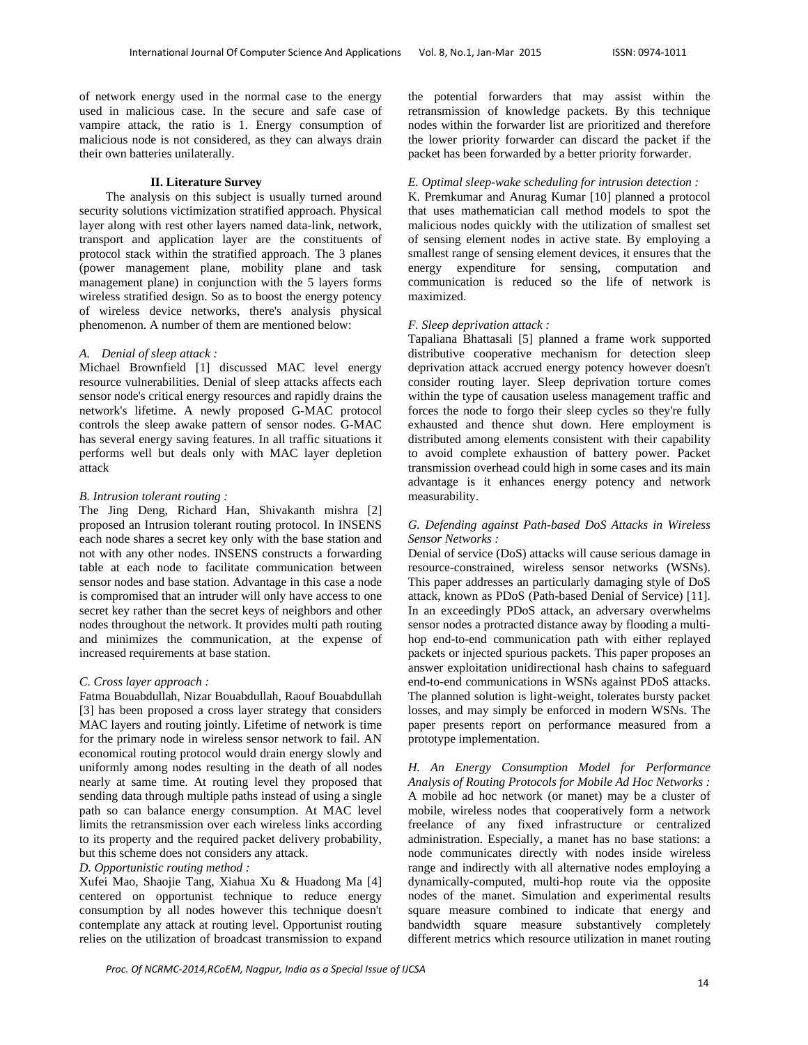of network energy used in the normal case to the energy used in malicious case. In the secure and safe case of vampire attack, the ratio is 1. Energy consumption of malicious node is not considered, as they can always drain their own batteries unilaterally.

#### **II. Literature Survey**

 The analysis on this subject is usually turned around security solutions victimization stratified approach. Physical layer along with rest other layers named data-link, network, transport and application layer are the constituents of protocol stack within the stratified approach. The 3 planes (power management plane, mobility plane and task management plane) in conjunction with the 5 layers forms wireless stratified design. So as to boost the energy potency of wireless device networks, there's analysis physical phenomenon. A number of them are mentioned below:

#### *A. Denial of sleep attack :*

Michael Brownfield [1] discussed MAC level energy resource vulnerabilities. Denial of sleep attacks affects each sensor node's critical energy resources and rapidly drains the network's lifetime. A newly proposed G-MAC protocol controls the sleep awake pattern of sensor nodes. G-MAC has several energy saving features. In all traffic situations it performs well but deals only with MAC layer depletion attack

#### *B. Intrusion tolerant routing :*

The Jing Deng, Richard Han, Shivakanth mishra [2] proposed an Intrusion tolerant routing protocol. In INSENS each node shares a secret key only with the base station and not with any other nodes. INSENS constructs a forwarding table at each node to facilitate communication between sensor nodes and base station. Advantage in this case a node is compromised that an intruder will only have access to one secret key rather than the secret keys of neighbors and other nodes throughout the network. It provides multi path routing and minimizes the communication, at the expense of increased requirements at base station.

#### *C. Cross layer approach :*

Fatma Bouabdullah, Nizar Bouabdullah, Raouf Bouabdullah [3] has been proposed a cross layer strategy that considers MAC layers and routing jointly. Lifetime of network is time for the primary node in wireless sensor network to fail. AN economical routing protocol would drain energy slowly and uniformly among nodes resulting in the death of all nodes nearly at same time. At routing level they proposed that sending data through multiple paths instead of using a single path so can balance energy consumption. At MAC level limits the retransmission over each wireless links according to its property and the required packet delivery probability, but this scheme does not considers any attack.

# *D. Opportunistic routing method :*

Xufei Mao, Shaojie Tang, Xiahua Xu & Huadong Ma [4] centered on opportunist technique to reduce energy consumption by all nodes however this technique doesn't contemplate any attack at routing level. Opportunist routing relies on the utilization of broadcast transmission to expand

the potential forwarders that may assist within the retransmission of knowledge packets. By this technique nodes within the forwarder list are prioritized and therefore the lower priority forwarder can discard the packet if the packet has been forwarded by a better priority forwarder.

## *E. Optimal sleep-wake scheduling for intrusion detection :*

K. Premkumar and Anurag Kumar [10] planned a protocol that uses mathematician call method models to spot the malicious nodes quickly with the utilization of smallest set of sensing element nodes in active state. By employing a smallest range of sensing element devices, it ensures that the energy expenditure for sensing, computation and communication is reduced so the life of network is maximized.

## *F. Sleep deprivation attack :*

Tapaliana Bhattasali [5] planned a frame work supported distributive cooperative mechanism for detection sleep deprivation attack accrued energy potency however doesn't consider routing layer. Sleep deprivation torture comes within the type of causation useless management traffic and forces the node to forgo their sleep cycles so they're fully exhausted and thence shut down. Here employment is distributed among elements consistent with their capability to avoid complete exhaustion of battery power. Packet transmission overhead could high in some cases and its main advantage is it enhances energy potency and network measurability.

## *G. Defending against Path-based DoS Attacks in Wireless Sensor Networks :*

Denial of service (DoS) attacks will cause serious damage in resource-constrained, wireless sensor networks (WSNs). This paper addresses an particularly damaging style of DoS attack, known as PDoS (Path-based Denial of Service) [11]. In an exceedingly PDoS attack, an adversary overwhelms sensor nodes a protracted distance away by flooding a multihop end-to-end communication path with either replayed packets or injected spurious packets. This paper proposes an answer exploitation unidirectional hash chains to safeguard end-to-end communications in WSNs against PDoS attacks. The planned solution is light-weight, tolerates bursty packet losses, and may simply be enforced in modern WSNs. The paper presents report on performance measured from a prototype implementation.

*H. An Energy Consumption Model for Performance Analysis of Routing Protocols for Mobile Ad Hoc Networks :*  A mobile ad hoc network (or manet) may be a cluster of mobile, wireless nodes that cooperatively form a network freelance of any fixed infrastructure or centralized administration. Especially, a manet has no base stations: a node communicates directly with nodes inside wireless range and indirectly with all alternative nodes employing a dynamically-computed, multi-hop route via the opposite nodes of the manet. Simulation and experimental results square measure combined to indicate that energy and bandwidth square measure substantively completely different metrics which resource utilization in manet routing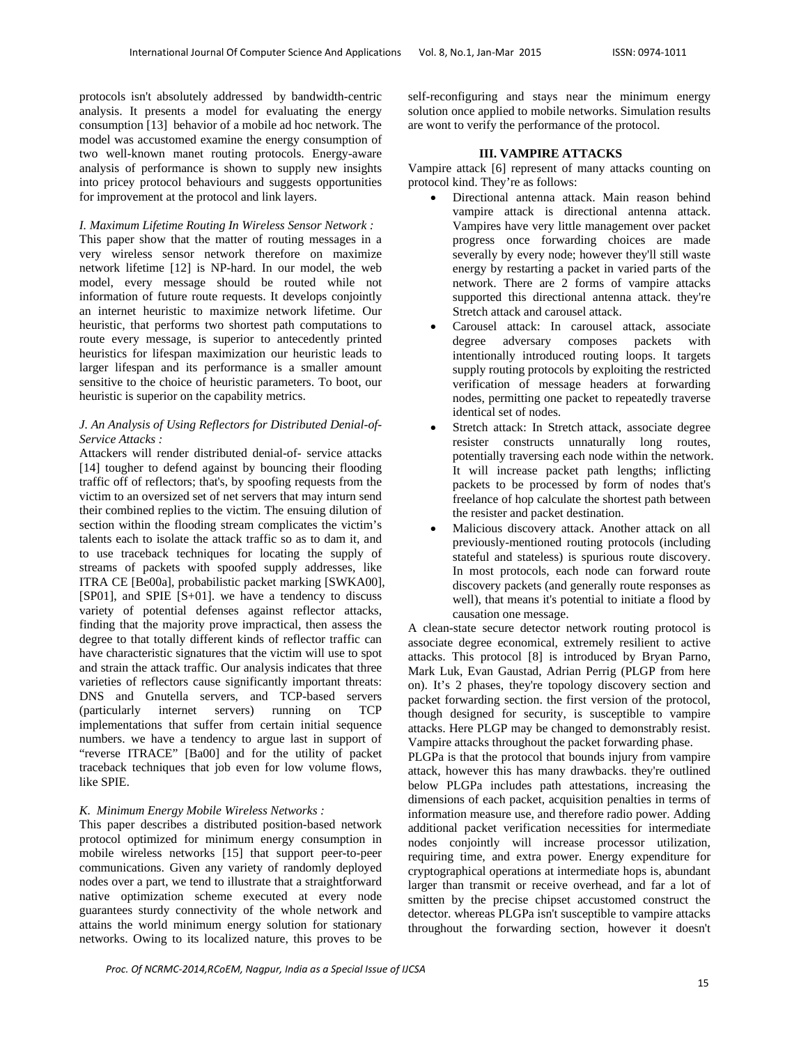protocols isn't absolutely addressed by bandwidth-centric analysis. It presents a model for evaluating the energy consumption [13] behavior of a mobile ad hoc network. The model was accustomed examine the energy consumption of two well-known manet routing protocols. Energy-aware analysis of performance is shown to supply new insights into pricey protocol behaviours and suggests opportunities for improvement at the protocol and link layers.

#### *I. Maximum Lifetime Routing In Wireless Sensor Network :*

This paper show that the matter of routing messages in a very wireless sensor network therefore on maximize network lifetime [12] is NP-hard. In our model, the web model, every message should be routed while not information of future route requests. It develops conjointly an internet heuristic to maximize network lifetime. Our heuristic, that performs two shortest path computations to route every message, is superior to antecedently printed heuristics for lifespan maximization our heuristic leads to larger lifespan and its performance is a smaller amount sensitive to the choice of heuristic parameters. To boot, our heuristic is superior on the capability metrics.

## *J. An Analysis of Using Reflectors for Distributed Denial-of-Service Attacks :*

Attackers will render distributed denial-of- service attacks [14] tougher to defend against by bouncing their flooding traffic off of reflectors; that's, by spoofing requests from the victim to an oversized set of net servers that may inturn send their combined replies to the victim. The ensuing dilution of section within the flooding stream complicates the victim's talents each to isolate the attack traffic so as to dam it, and to use traceback techniques for locating the supply of streams of packets with spoofed supply addresses, like ITRA CE [Be00a], probabilistic packet marking [SWKA00], [SP01], and SPIE [S+01]. we have a tendency to discuss variety of potential defenses against reflector attacks, finding that the majority prove impractical, then assess the degree to that totally different kinds of reflector traffic can have characteristic signatures that the victim will use to spot and strain the attack traffic. Our analysis indicates that three varieties of reflectors cause significantly important threats: DNS and Gnutella servers, and TCP-based servers (particularly internet servers) running on TCP implementations that suffer from certain initial sequence numbers. we have a tendency to argue last in support of "reverse ITRACE" [Ba00] and for the utility of packet traceback techniques that job even for low volume flows, like SPIE.

#### *K. Minimum Energy Mobile Wireless Networks :*

This paper describes a distributed position-based network protocol optimized for minimum energy consumption in mobile wireless networks [15] that support peer-to-peer communications. Given any variety of randomly deployed nodes over a part, we tend to illustrate that a straightforward native optimization scheme executed at every node guarantees sturdy connectivity of the whole network and attains the world minimum energy solution for stationary networks. Owing to its localized nature, this proves to be self-reconfiguring and stays near the minimum energy solution once applied to mobile networks. Simulation results are wont to verify the performance of the protocol.

## **III. VAMPIRE ATTACKS**

Vampire attack [6] represent of many attacks counting on protocol kind. They're as follows:

- Directional antenna attack. Main reason behind vampire attack is directional antenna attack. Vampires have very little management over packet progress once forwarding choices are made severally by every node; however they'll still waste energy by restarting a packet in varied parts of the network. There are 2 forms of vampire attacks supported this directional antenna attack. they're Stretch attack and carousel attack.
- Carousel attack: In carousel attack, associate degree adversary composes packets with intentionally introduced routing loops. It targets supply routing protocols by exploiting the restricted verification of message headers at forwarding nodes, permitting one packet to repeatedly traverse identical set of nodes.
- Stretch attack: In Stretch attack, associate degree resister constructs unnaturally long routes, potentially traversing each node within the network. It will increase packet path lengths; inflicting packets to be processed by form of nodes that's freelance of hop calculate the shortest path between the resister and packet destination.
- Malicious discovery attack. Another attack on all previously-mentioned routing protocols (including stateful and stateless) is spurious route discovery. In most protocols, each node can forward route discovery packets (and generally route responses as well), that means it's potential to initiate a flood by causation one message.

A clean-state secure detector network routing protocol is associate degree economical, extremely resilient to active attacks. This protocol [8] is introduced by Bryan Parno, Mark Luk, Evan Gaustad, Adrian Perrig (PLGP from here on). It's 2 phases, they're topology discovery section and packet forwarding section. the first version of the protocol, though designed for security, is susceptible to vampire attacks. Here PLGP may be changed to demonstrably resist. Vampire attacks throughout the packet forwarding phase.

PLGPa is that the protocol that bounds injury from vampire attack, however this has many drawbacks. they're outlined below PLGPa includes path attestations, increasing the dimensions of each packet, acquisition penalties in terms of information measure use, and therefore radio power. Adding additional packet verification necessities for intermediate nodes conjointly will increase processor utilization, requiring time, and extra power. Energy expenditure for cryptographical operations at intermediate hops is, abundant larger than transmit or receive overhead, and far a lot of smitten by the precise chipset accustomed construct the detector. whereas PLGPa isn't susceptible to vampire attacks throughout the forwarding section, however it doesn't